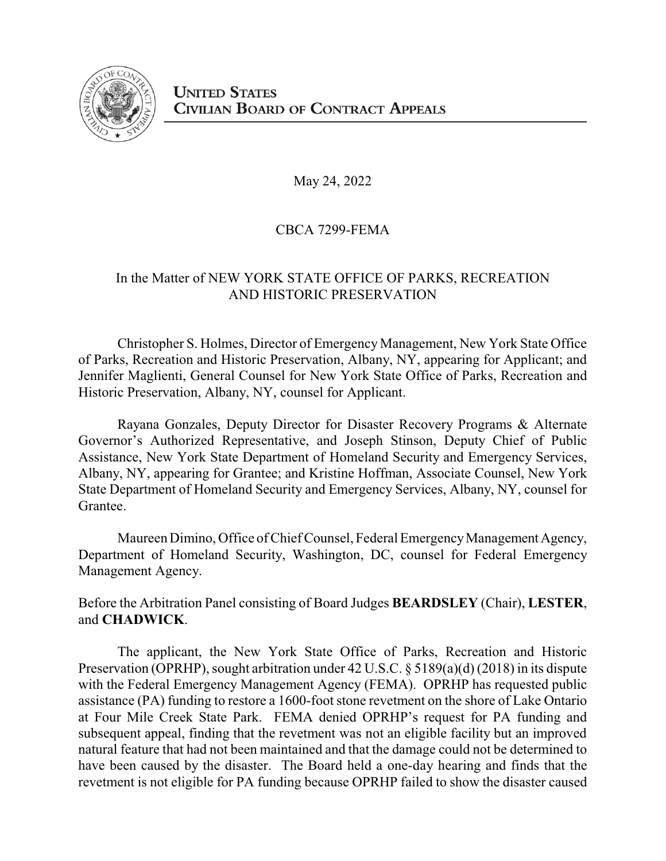

May 24, 2022

## CBCA 7299-FEMA

# In the Matter of NEW YORK STATE OFFICE OF PARKS, RECREATION AND HISTORIC PRESERVATION

Christopher S. Holmes, Director of Emergency Management, New York State Office of Parks, Recreation and Historic Preservation, Albany, NY, appearing for Applicant; and Jennifer Maglienti, General Counsel for New York State Office of Parks, Recreation and Historic Preservation, Albany, NY, counsel for Applicant.

Rayana Gonzales, Deputy Director for Disaster Recovery Programs & Alternate Governor's Authorized Representative, and Joseph Stinson, Deputy Chief of Public Assistance, New York State Department of Homeland Security and Emergency Services, Albany, NY, appearing for Grantee; and Kristine Hoffman, Associate Counsel, New York State Department of Homeland Security and Emergency Services, Albany, NY, counsel for Grantee.

Maureen Dimino, Office of Chief Counsel, Federal Emergency Management Agency, Department of Homeland Security, Washington, DC, counsel for Federal Emergency Management Agency.

Before the Arbitration Panel consisting of Board Judges **BEARDSLEY** (Chair), **LESTER**, and **CHADWICK**.

The applicant, the New York State Office of Parks, Recreation and Historic Preservation (OPRHP), sought arbitration under 42 U.S.C. § 5189(a)(d) (2018) in its dispute with the Federal Emergency Management Agency (FEMA). OPRHP has requested public assistance (PA) funding to restore a 1600-foot stone revetment on the shore of Lake Ontario at Four Mile Creek State Park. FEMA denied OPRHP's request for PA funding and subsequent appeal, finding that the revetment was not an eligible facility but an improved natural feature that had not been maintained and that the damage could not be determined to have been caused by the disaster. The Board held a one-day hearing and finds that the revetment is not eligible for PA funding because OPRHP failed to show the disaster caused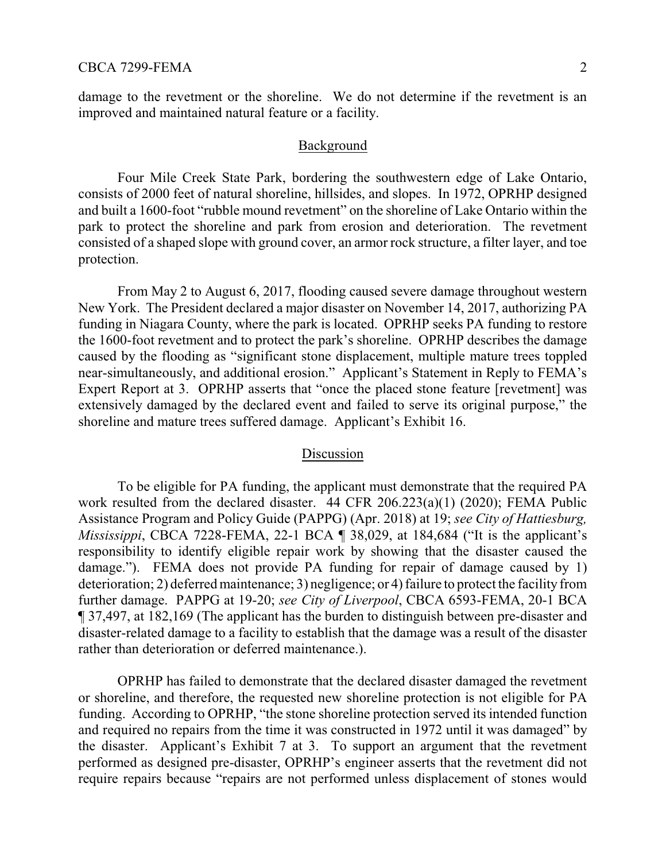damage to the revetment or the shoreline. We do not determine if the revetment is an improved and maintained natural feature or a facility.

### Background

Four Mile Creek State Park, bordering the southwestern edge of Lake Ontario, consists of 2000 feet of natural shoreline, hillsides, and slopes. In 1972, OPRHP designed and built a 1600-foot "rubble mound revetment" on the shoreline of Lake Ontario within the park to protect the shoreline and park from erosion and deterioration. The revetment consisted of a shaped slope with ground cover, an armor rock structure, a filter layer, and toe protection.

From May 2 to August 6, 2017, flooding caused severe damage throughout western New York. The President declared a major disaster on November 14, 2017, authorizing PA funding in Niagara County, where the park is located. OPRHP seeks PA funding to restore the 1600-foot revetment and to protect the park's shoreline. OPRHP describes the damage caused by the flooding as "significant stone displacement, multiple mature trees toppled near-simultaneously, and additional erosion." Applicant's Statement in Reply to FEMA's Expert Report at 3. OPRHP asserts that "once the placed stone feature [revetment] was extensively damaged by the declared event and failed to serve its original purpose," the shoreline and mature trees suffered damage. Applicant's Exhibit 16.

#### Discussion

To be eligible for PA funding, the applicant must demonstrate that the required PA work resulted from the declared disaster. 44 CFR 206.223(a)(1) (2020); FEMA Public Assistance Program and Policy Guide (PAPPG) (Apr. 2018) at 19; *see City of Hattiesburg, Mississippi*, CBCA 7228-FEMA, 22-1 BCA ¶ 38,029, at 184,684 ("It is the applicant's responsibility to identify eligible repair work by showing that the disaster caused the damage."). FEMA does not provide PA funding for repair of damage caused by 1) deterioration; 2) deferred maintenance; 3) negligence; or 4) failure to protect the facility from further damage. PAPPG at 19-20; *see City of Liverpool*, CBCA 6593-FEMA, 20-1 BCA ¶ 37,497, at 182,169 (The applicant has the burden to distinguish between pre-disaster and disaster-related damage to a facility to establish that the damage was a result of the disaster rather than deterioration or deferred maintenance.).

OPRHP has failed to demonstrate that the declared disaster damaged the revetment or shoreline, and therefore, the requested new shoreline protection is not eligible for PA funding. According to OPRHP, "the stone shoreline protection served its intended function and required no repairs from the time it was constructed in 1972 until it was damaged" by the disaster. Applicant's Exhibit 7 at 3. To support an argument that the revetment performed as designed pre-disaster, OPRHP's engineer asserts that the revetment did not require repairs because "repairs are not performed unless displacement of stones would